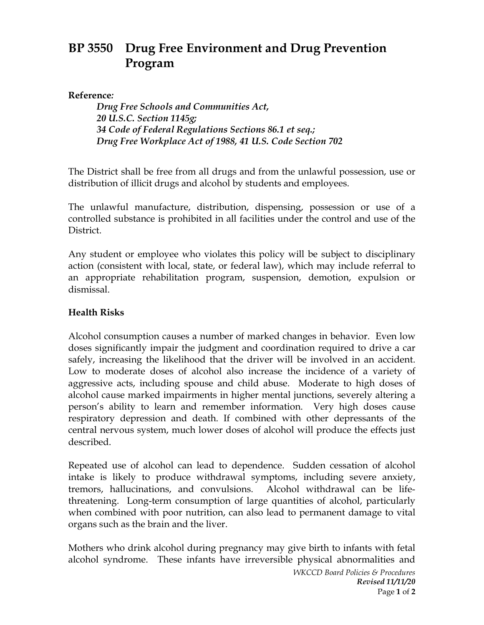## **BP 3550 Drug Free Environment and Drug Prevention Program**

## **Reference***:*

*Drug Free Schools and Communities Act, 20 U.S.C. Section 1145g; 34 Code of Federal Regulations Sections 86.1 et seq.; Drug Free Workplace Act of 1988, 41 U.S. Code Section 702*

The District shall be free from all drugs and from the unlawful possession, use or distribution of illicit drugs and alcohol by students and employees.

The unlawful manufacture, distribution, dispensing, possession or use of a controlled substance is prohibited in all facilities under the control and use of the District.

Any student or employee who violates this policy will be subject to disciplinary action (consistent with local, state, or federal law), which may include referral to an appropriate rehabilitation program, suspension, demotion, expulsion or dismissal.

## **Health Risks**

Alcohol consumption causes a number of marked changes in behavior. Even low doses significantly impair the judgment and coordination required to drive a car safely, increasing the likelihood that the driver will be involved in an accident. Low to moderate doses of alcohol also increase the incidence of a variety of aggressive acts, including spouse and child abuse. Moderate to high doses of alcohol cause marked impairments in higher mental junctions, severely altering a person's ability to learn and remember information. Very high doses cause respiratory depression and death. If combined with other depressants of the central nervous system, much lower doses of alcohol will produce the effects just described.

Repeated use of alcohol can lead to dependence. Sudden cessation of alcohol intake is likely to produce withdrawal symptoms, including severe anxiety, tremors, hallucinations, and convulsions. Alcohol withdrawal can be lifethreatening. Long-term consumption of large quantities of alcohol, particularly when combined with poor nutrition, can also lead to permanent damage to vital organs such as the brain and the liver.

Mothers who drink alcohol during pregnancy may give birth to infants with fetal alcohol syndrome. These infants have irreversible physical abnormalities and